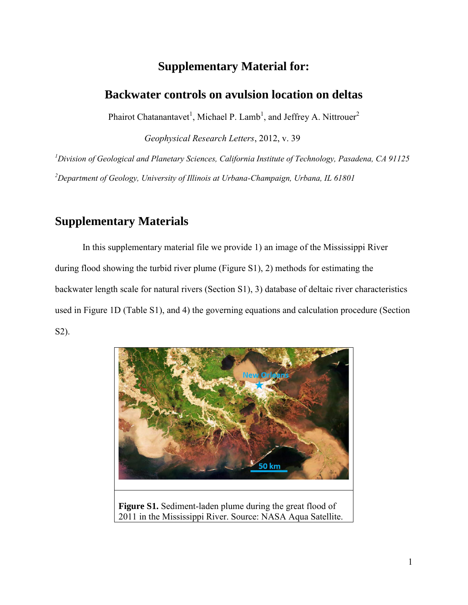# **Supplementary Material for:**

### **Backwater controls on avulsion location on deltas**

Phairot Chatanantavet<sup>1</sup>, Michael P. Lamb<sup>1</sup>, and Jeffrey A. Nittrouer<sup>2</sup>

*Geophysical Research Letters*, 2012, v. 39

*<sup>1</sup>Division of Geological and Planetary Sciences, California Institute of Technology, Pasadena, CA 91125 <sup>2</sup>Department of Geology, University of Illinois at Urbana-Champaign, Urbana, IL 61801* 

# **Supplementary Materials**

In this supplementary material file we provide 1) an image of the Mississippi River during flood showing the turbid river plume (Figure S1), 2) methods for estimating the backwater length scale for natural rivers (Section S1), 3) database of deltaic river characteristics used in Figure 1D (Table S1), and 4) the governing equations and calculation procedure (Section S2).



**Figure S1.** Sediment-laden plume during the great flood of 2011 in the Mississippi River. Source: NASA Aqua Satellite.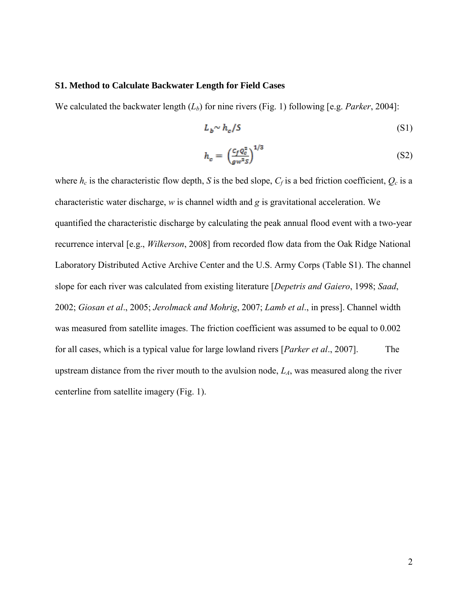#### **S1. Method to Calculate Backwater Length for Field Cases**

We calculated the backwater length (*Lb*) for nine rivers (Fig. 1) following [e.g. *Parker*, 2004]:

$$
L_b \sim h_c / S \tag{S1}
$$

$$
h_c = \left(\frac{c_f q_c^2}{g w^2 s}\right)^{1/3} \tag{S2}
$$

where  $h_c$  is the characteristic flow depth, *S* is the bed slope,  $C_f$  is a bed friction coefficient,  $Q_c$  is a characteristic water discharge, *w* is channel width and *g* is gravitational acceleration. We quantified the characteristic discharge by calculating the peak annual flood event with a two-year recurrence interval [e.g., *Wilkerson*, 2008] from recorded flow data from the Oak Ridge National Laboratory Distributed Active Archive Center and the U.S. Army Corps (Table S1). The channel slope for each river was calculated from existing literature [*Depetris and Gaiero*, 1998; *Saad*, 2002; *Giosan et al*., 2005; *Jerolmack and Mohrig*, 2007; *Lamb et al*., in press]. Channel width was measured from satellite images. The friction coefficient was assumed to be equal to 0.002 for all cases, which is a typical value for large lowland rivers [*Parker et al*., 2007]. The upstream distance from the river mouth to the avulsion node, *LA*, was measured along the river centerline from satellite imagery (Fig. 1).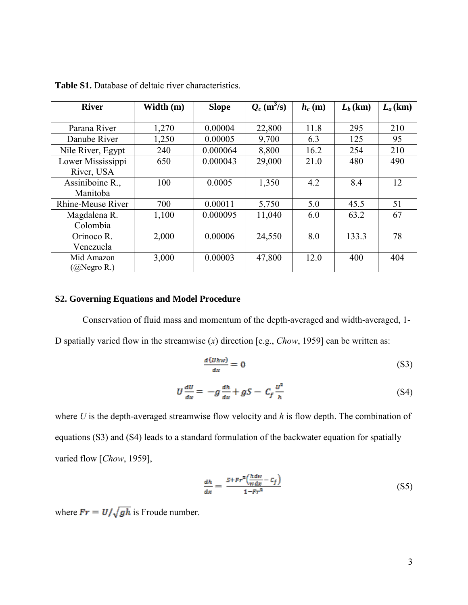| <b>River</b>      | Width (m) | <b>Slope</b> | $Q_c$ (m <sup>3</sup> /s) | $h_c(m)$ | $L_b$ (km) | $L_a$ (km) |
|-------------------|-----------|--------------|---------------------------|----------|------------|------------|
|                   |           |              |                           |          |            |            |
| Parana River      | 1,270     | 0.00004      | 22,800                    | 11.8     | 295        | 210        |
| Danube River      | 1,250     | 0.00005      | 9,700                     | 6.3      | 125        | 95         |
| Nile River, Egypt | 240       | 0.000064     | 8,800                     | 16.2     | 254        | 210        |
| Lower Mississippi | 650       | 0.000043     | 29,000                    | 21.0     | 480        | 490        |
| River, USA        |           |              |                           |          |            |            |
| Assiniboine R.,   | 100       | 0.0005       | 1,350                     | 4.2      | 8.4        | 12         |
| Manitoba          |           |              |                           |          |            |            |
| Rhine-Meuse River | 700       | 0.00011      | 5,750                     | 5.0      | 45.5       | 51         |
| Magdalena R.      | 1,100     | 0.000095     | 11,040                    | 6.0      | 63.2       | 67         |
| Colombia          |           |              |                           |          |            |            |
| Orinoco R.        | 2,000     | 0.00006      | 24,550                    | 8.0      | 133.3      | 78         |
| Venezuela         |           |              |                           |          |            |            |
| Mid Amazon        | 3,000     | 0.00003      | 47,800                    | 12.0     | 400        | 404        |
| $(Q)$ Negro R.)   |           |              |                           |          |            |            |

**Table S1.** Database of deltaic river characteristics.

### **S2. Governing Equations and Model Procedure**

Conservation of fluid mass and momentum of the depth-averaged and width-averaged, 1- D spatially varied flow in the streamwise (*x*) direction [e.g., *Chow*, 1959] can be written as:

$$
\frac{d(Uhw)}{dx} = 0
$$
 (S3)

$$
U\frac{dU}{dx} = -g\frac{dh}{dx} + gS - C_f\frac{U^2}{h}
$$
 (S4)

where *U* is the depth-averaged streamwise flow velocity and *h* is flow depth. The combination of equations (S3) and (S4) leads to a standard formulation of the backwater equation for spatially varied flow [*Chow*, 1959],

$$
\frac{dh}{dx} = \frac{S + Fr^2 \left(\frac{h \, dw}{w \, dx} - C_f\right)}{1 - Fr^2} \tag{S5}
$$

where  $Fr = U/\sqrt{gh}$  is Froude number.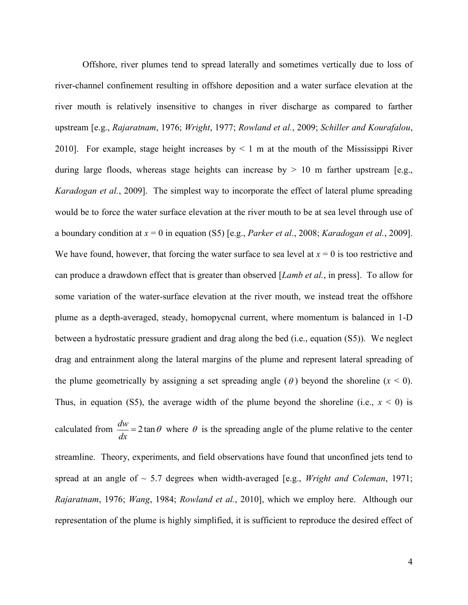Offshore, river plumes tend to spread laterally and sometimes vertically due to loss of river-channel confinement resulting in offshore deposition and a water surface elevation at the river mouth is relatively insensitive to changes in river discharge as compared to farther upstream [e.g., *Rajaratnam*, 1976; *Wright*, 1977; *Rowland et al.*, 2009; *Schiller and Kourafalou*, 2010]. For example, stage height increases by  $\leq 1$  m at the mouth of the Mississippi River during large floods, whereas stage heights can increase by  $> 10$  m farther upstream [e.g., *Karadogan et al.*, 2009]. The simplest way to incorporate the effect of lateral plume spreading would be to force the water surface elevation at the river mouth to be at sea level through use of a boundary condition at *x* = 0 in equation (S5) [e.g., *Parker et al*., 2008; *Karadogan et al.*, 2009]. We have found, however, that forcing the water surface to sea level at  $x = 0$  is too restrictive and can produce a drawdown effect that is greater than observed [*Lamb et al.*, in press]. To allow for some variation of the water-surface elevation at the river mouth, we instead treat the offshore plume as a depth-averaged, steady, homopycnal current, where momentum is balanced in 1-D between a hydrostatic pressure gradient and drag along the bed (i.e., equation (S5)). We neglect drag and entrainment along the lateral margins of the plume and represent lateral spreading of the plume geometrically by assigning a set spreading angle  $(\theta)$  beyond the shoreline  $(x < 0)$ . Thus, in equation (S5), the average width of the plume beyond the shoreline (i.e.,  $x < 0$ ) is calculated from  $\frac{dw}{dx} = 2 \tan \theta$ *dx*  $= 2 \tan \theta$  where  $\theta$  is the spreading angle of the plume relative to the center streamline. Theory, experiments, and field observations have found that unconfined jets tend to spread at an angle of ~ 5.7 degrees when width-averaged [e.g., *Wright and Coleman*, 1971; *Rajaratnam*, 1976; *Wang*, 1984; *Rowland et al.*, 2010], which we employ here. Although our representation of the plume is highly simplified, it is sufficient to reproduce the desired effect of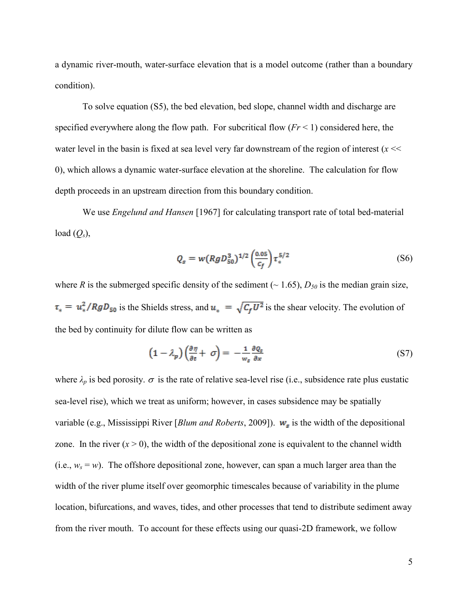a dynamic river-mouth, water-surface elevation that is a model outcome (rather than a boundary condition).

To solve equation (S5), the bed elevation, bed slope, channel width and discharge are specified everywhere along the flow path. For subcritical flow  $(Fr < 1)$  considered here, the water level in the basin is fixed at sea level very far downstream of the region of interest  $(x \ll$ 0), which allows a dynamic water-surface elevation at the shoreline. The calculation for flow depth proceeds in an upstream direction from this boundary condition.

 We use *Engelund and Hansen* [1967] for calculating transport rate of total bed-material load  $(Q_s)$ ,

$$
Q_s = w (Rg D_{50}^3)^{1/2} \left(\frac{0.05}{c_f}\right) \tau_*^{5/2}
$$
 (S6)

where *R* is the submerged specific density of the sediment ( $\sim$  1.65),  $D_{50}$  is the median grain size,  $\tau_* = u_*^2/RgD_{50}$  is the Shields stress, and  $u_* = \sqrt{C_f U^2}$  is the shear velocity. The evolution of the bed by continuity for dilute flow can be written as

$$
\left(1 - \lambda_p\right) \left(\frac{\partial \eta}{\partial t} + \sigma\right) = -\frac{1}{w_s} \frac{\partial Q_s}{\partial x} \tag{S7}
$$

where  $\lambda_p$  is bed porosity.  $\sigma$  is the rate of relative sea-level rise (i.e., subsidence rate plus eustatic sea-level rise), which we treat as uniform; however, in cases subsidence may be spatially variable (e.g., Mississippi River [*Blum and Roberts*, 2009]).  $w_s$  is the width of the depositional zone. In the river  $(x > 0)$ , the width of the depositional zone is equivalent to the channel width (i.e.,  $w_s = w$ ). The offshore depositional zone, however, can span a much larger area than the width of the river plume itself over geomorphic timescales because of variability in the plume location, bifurcations, and waves, tides, and other processes that tend to distribute sediment away from the river mouth. To account for these effects using our quasi-2D framework, we follow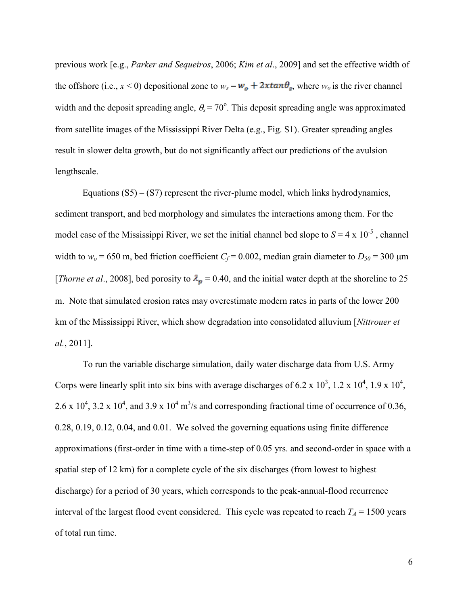previous work [e.g., *Parker and Sequeiros*, 2006; *Kim et al*., 2009] and set the effective width of the offshore (i.e.,  $x < 0$ ) depositional zone to  $w_s = w_o + 2x \tan \theta_s$ , where  $w_o$  is the river channel width and the deposit spreading angle,  $\theta_s = 70^\circ$ . This deposit spreading angle was approximated from satellite images of the Mississippi River Delta (e.g., Fig. S1). Greater spreading angles result in slower delta growth, but do not significantly affect our predictions of the avulsion lengthscale.

Equations  $(S5) - (S7)$  represent the river-plume model, which links hydrodynamics, sediment transport, and bed morphology and simulates the interactions among them. For the model case of the Mississippi River, we set the initial channel bed slope to  $S = 4 \times 10^{-5}$ , channel width to  $w_0 = 650$  m, bed friction coefficient  $C_f = 0.002$ , median grain diameter to  $D_{50} = 300$   $\mu$ m [*Thorne et al.*, 2008], bed porosity to  $\lambda_p = 0.40$ , and the initial water depth at the shoreline to 25 m. Note that simulated erosion rates may overestimate modern rates in parts of the lower 200 km of the Mississippi River, which show degradation into consolidated alluvium [*Nittrouer et al.*, 2011].

To run the variable discharge simulation, daily water discharge data from U.S. Army Corps were linearly split into six bins with average discharges of 6.2 x  $10^3$ , 1.2 x  $10^4$ , 1.9 x  $10^4$ , 2.6 x 10<sup>4</sup>, 3.2 x 10<sup>4</sup>, and 3.9 x 10<sup>4</sup> m<sup>3</sup>/s and corresponding fractional time of occurrence of 0.36, 0.28, 0.19, 0.12, 0.04, and 0.01. We solved the governing equations using finite difference approximations (first-order in time with a time-step of 0.05 yrs. and second-order in space with a spatial step of 12 km) for a complete cycle of the six discharges (from lowest to highest discharge) for a period of 30 years, which corresponds to the peak-annual-flood recurrence interval of the largest flood event considered. This cycle was repeated to reach  $T_A = 1500$  years of total run time.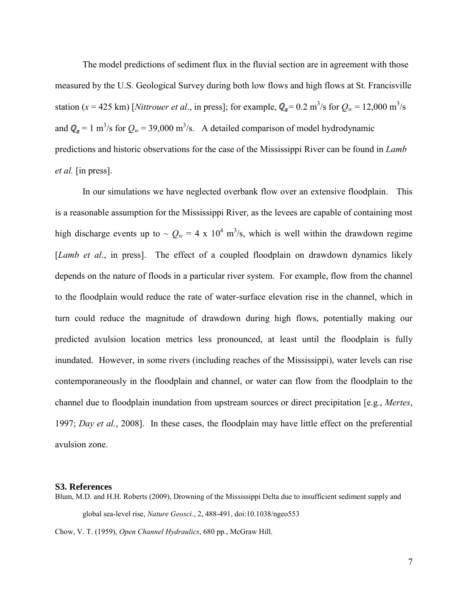The model predictions of sediment flux in the fluvial section are in agreement with those measured by the U.S. Geological Survey during both low flows and high flows at St. Francisville station ( $x = 425$  km) [*Nittrouer et al.*, in press]; for example,  $Q_s = 0.2$  m<sup>3</sup>/s for  $Q_w = 12,000$  m<sup>3</sup>/s and  $Q_s = 1 \text{ m}^3/\text{s}$  for  $Q_w = 39,000 \text{ m}^3/\text{s}$ . A detailed comparison of model hydrodynamic predictions and historic observations for the case of the Mississippi River can be found in *Lamb et al.* [in press].

In our simulations we have neglected overbank flow over an extensive floodplain. This is a reasonable assumption for the Mississippi River, as the levees are capable of containing most high discharge events up to  $\sim Q_w = 4 \times 10^4$  m<sup>3</sup>/s, which is well within the drawdown regime [*Lamb et al*., in press]. The effect of a coupled floodplain on drawdown dynamics likely depends on the nature of floods in a particular river system. For example, flow from the channel to the floodplain would reduce the rate of water-surface elevation rise in the channel, which in turn could reduce the magnitude of drawdown during high flows, potentially making our predicted avulsion location metrics less pronounced, at least until the floodplain is fully inundated. However, in some rivers (including reaches of the Mississippi), water levels can rise contemporaneously in the floodplain and channel, or water can flow from the floodplain to the channel due to floodplain inundation from upstream sources or direct precipitation [e.g., *Mertes*, 1997; *Day et al.*, 2008]. In these cases, the floodplain may have little effect on the preferential avulsion zone.

#### **S3. References**

Blum, M.D. and H.H. Roberts (2009), Drowning of the Mississippi Delta due to insufficient sediment supply and global sea-level rise, *Nature Geosci*., 2, 488-491, doi:10.1038/ngeo553 Chow, V. T. (1959), *Open Channel Hydraulics*, 680 pp., McGraw Hill.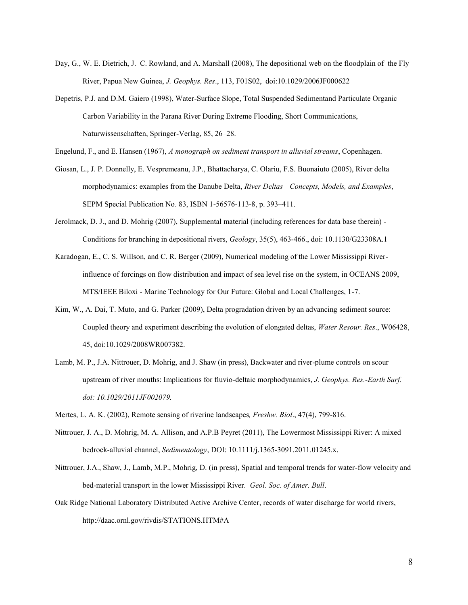- Day, G., W. E. Dietrich, J. C. Rowland, and A. Marshall (2008), The depositional web on the floodplain of the Fly River, Papua New Guinea, *J. Geophys. Res*., 113, F01S02, doi:10.1029/2006JF000622
- Depetris, P.J. and D.M. Gaiero (1998), Water-Surface Slope, Total Suspended Sedimentand Particulate Organic Carbon Variability in the Parana River During Extreme Flooding, Short Communications, Naturwissenschaften, Springer-Verlag, 85, 26–28.
- Engelund, F., and E. Hansen (1967), *A monograph on sediment transport in alluvial streams*, Copenhagen.
- Giosan, L., J. P. Donnelly, E. Vespremeanu, J.P., Bhattacharya, C. Olariu, F.S. Buonaiuto (2005), River delta morphodynamics: examples from the Danube Delta, *River Deltas—Concepts, Models, and Examples*, SEPM Special Publication No. 83, ISBN 1-56576-113-8, p. 393–411.
- Jerolmack, D. J., and D. Mohrig (2007), Supplemental material (including references for data base therein) Conditions for branching in depositional rivers, *Geology*, 35(5), 463-466., doi: 10.1130/G23308A.1
- Karadogan, E., C. S. Willson, and C. R. Berger (2009), Numerical modeling of the Lower Mississippi Riverinfluence of forcings on flow distribution and impact of sea level rise on the system, in OCEANS 2009, MTS/IEEE Biloxi - Marine Technology for Our Future: Global and Local Challenges, 1-7.
- Kim, W., A. Dai, T. Muto, and G. Parker (2009), Delta progradation driven by an advancing sediment source: Coupled theory and experiment describing the evolution of elongated deltas, *Water Resour. Res*., W06428, 45, doi:10.1029/2008WR007382.
- Lamb, M. P., J.A. Nittrouer, D. Mohrig, and J. Shaw (in press), Backwater and river-plume controls on scour upstream of river mouths: Implications for fluvio-deltaic morphodynamics, *J. Geophys. Res.-Earth Surf. doi: 10.1029/2011JF002079.*
- Mertes, L. A. K. (2002), Remote sensing of riverine landscapes*, Freshw. Biol*., 47(4), 799-816.
- Nittrouer, J. A., D. Mohrig, M. A. Allison, and A.P.B Peyret (2011), The Lowermost Mississippi River: A mixed bedrock-alluvial channel, *Sedimentology*, DOI: 10.1111/j.1365-3091.2011.01245.x.
- Nittrouer, J.A., Shaw, J., Lamb, M.P., Mohrig, D. (in press), Spatial and temporal trends for water-flow velocity and bed-material transport in the lower Mississippi River. *Geol. Soc. of Amer. Bull*.
- Oak Ridge National Laboratory Distributed Active Archive Center, records of water discharge for world rivers, http://daac.ornl.gov/rivdis/STATIONS.HTM#A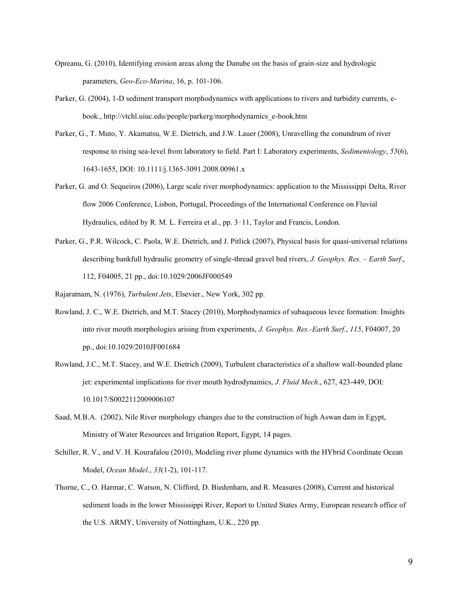- Opreanu, G. (2010), Identifying erosion areas along the Danube on the basis of grain-size and hydrologic parameters, *Geo-Eco-Marina*, 16, p. 101-106.
- Parker, G. (2004), 1-D sediment transport morphodynamics with applications to rivers and turbidity currents, ebook., http://vtchl.uiuc.edu/people/parkerg/morphodynamics\_e-book.htm
- Parker, G., T. Muto, Y. Akamatsu, W.E. Dietrich, and J.W. Lauer (2008), Unravelling the conundrum of river response to rising sea-level from laboratory to field. Part I: Laboratory experiments, *Sedimentology*, *55*(6), 1643-1655, DOI: 10.1111/j.1365-3091.2008.00961.x
- Parker, G. and O. Sequeiros (2006), Large scale river morphodynamics: application to the Mississippi Delta, River flow 2006 Conference, Lisbon, Portugal, Proceedings of the International Conference on Fluvial Hydraulics, edited by R. M. L. Ferreira et al., pp. 3–11, Taylor and Francis, London.
- Parker, G., P.R. Wilcock, C. Paola, W.E. Dietrich, and J. Pitlick (2007), Physical basis for quasi-universal relations describing bankfull hydraulic geometry of single-thread gravel bed rivers, *J. Geophys. Res. – Earth Surf*., 112, F04005, 21 pp., doi:10.1029/2006JF000549
- Rajaratnam, N. (1976), *Turbulent Jets*, Elsevier., New York, 302 pp.
- Rowland, J. C., W.E. Dietrich, and M.T. Stacey (2010), Morphodynamics of subaqueous levee formation: Insights into river mouth morphologies arising from experiments, *J. Geophys. Res.-Earth Surf.*, *115*, F04007, 20 pp., doi:10.1029/2010JF001684
- Rowland, J.C., M.T. Stacey, and W.E. Dietrich (2009), Turbulent characteristics of a shallow wall-bounded plane jet: experimental implications for river mouth hydrodynamics, *J. Fluid Mech*., 627, 423-449, DOI: 10.1017/S0022112009006107
- Saad, M.B.A. (2002), Nile River morphology changes due to the construction of high Aswan dam in Egypt, Ministry of Water Resources and Irrigation Report, Egypt, 14 pages.
- Schiller, R. V., and V. H. Kourafalou (2010), Modeling river plume dynamics with the HYbrid Coordinate Ocean Model, *Ocean Model.*, *33*(1-2), 101-117.
- Thorne, C., O. Harmar, C. Watson, N. Clifford, D. Biedenharn, and R. Measures (2008), Current and historical sediment loads in the lower Mississippi River, Report to United States Army, European research office of the U.S. ARMY, University of Nottingham, U.K., 220 pp.